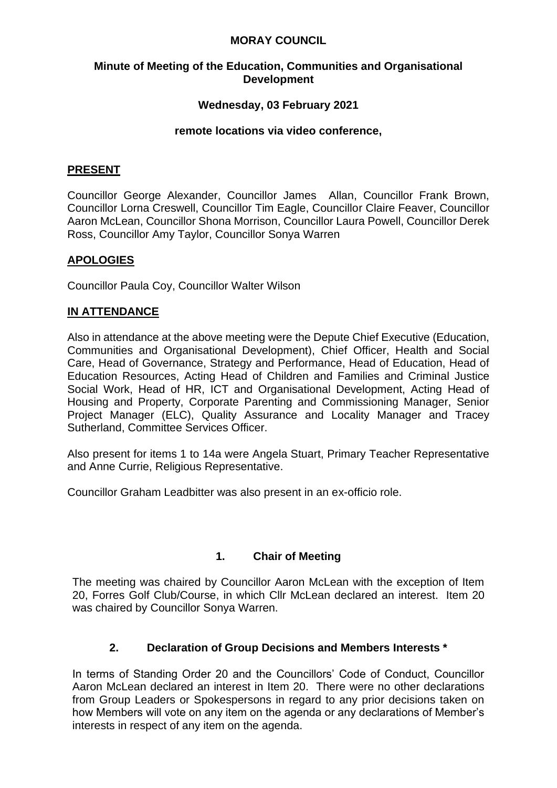#### **MORAY COUNCIL**

#### **Minute of Meeting of the Education, Communities and Organisational Development**

## **Wednesday, 03 February 2021**

#### **remote locations via video conference,**

#### **PRESENT**

Councillor George Alexander, Councillor James Allan, Councillor Frank Brown, Councillor Lorna Creswell, Councillor Tim Eagle, Councillor Claire Feaver, Councillor Aaron McLean, Councillor Shona Morrison, Councillor Laura Powell, Councillor Derek Ross, Councillor Amy Taylor, Councillor Sonya Warren

## **APOLOGIES**

Councillor Paula Coy, Councillor Walter Wilson

## **IN ATTENDANCE**

Also in attendance at the above meeting were the Depute Chief Executive (Education, Communities and Organisational Development), Chief Officer, Health and Social Care, Head of Governance, Strategy and Performance, Head of Education, Head of Education Resources, Acting Head of Children and Families and Criminal Justice Social Work, Head of HR, ICT and Organisational Development, Acting Head of Housing and Property, Corporate Parenting and Commissioning Manager, Senior Project Manager (ELC), Quality Assurance and Locality Manager and Tracey Sutherland, Committee Services Officer.

Also present for items 1 to 14a were Angela Stuart, Primary Teacher Representative and Anne Currie, Religious Representative.

Councillor Graham Leadbitter was also present in an ex-officio role.

## **1. Chair of Meeting**

The meeting was chaired by Councillor Aaron McLean with the exception of Item 20, Forres Golf Club/Course, in which Cllr McLean declared an interest. Item 20 was chaired by Councillor Sonya Warren.

## **2. Declaration of Group Decisions and Members Interests \***

In terms of Standing Order 20 and the Councillors' Code of Conduct, Councillor Aaron McLean declared an interest in Item 20. There were no other declarations from Group Leaders or Spokespersons in regard to any prior decisions taken on how Members will vote on any item on the agenda or any declarations of Member's interests in respect of any item on the agenda.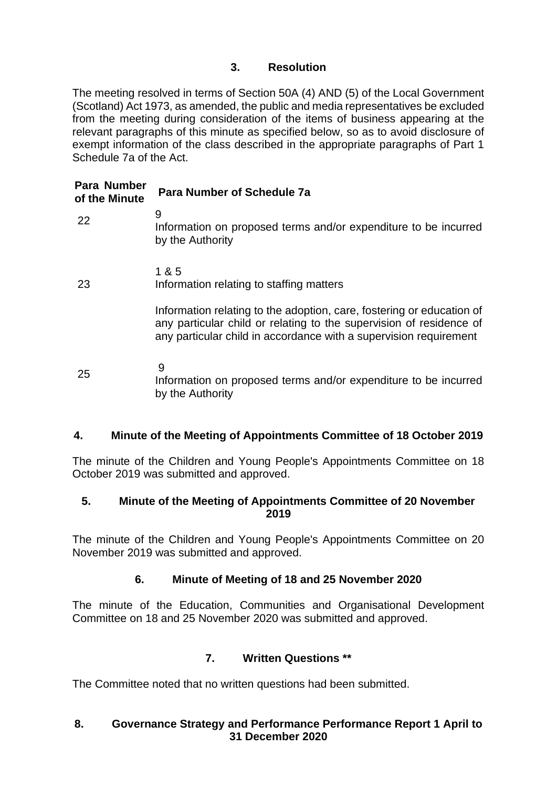## **3. Resolution**

The meeting resolved in terms of Section 50A (4) AND (5) of the Local Government (Scotland) Act 1973, as amended, the public and media representatives be excluded from the meeting during consideration of the items of business appearing at the relevant paragraphs of this minute as specified below, so as to avoid disclosure of exempt information of the class described in the appropriate paragraphs of Part 1 Schedule 7a of the Act.

| Para Number<br>of the Minute | Para Number of Schedule 7a                                                                                                                                                                                        |
|------------------------------|-------------------------------------------------------------------------------------------------------------------------------------------------------------------------------------------------------------------|
| 22                           | 9<br>Information on proposed terms and/or expenditure to be incurred<br>by the Authority                                                                                                                          |
| 23                           | 1 & 5<br>Information relating to staffing matters                                                                                                                                                                 |
|                              | Information relating to the adoption, care, fostering or education of<br>any particular child or relating to the supervision of residence of<br>any particular child in accordance with a supervision requirement |
| 25                           | 9<br>Information on proposed terms and/or expenditure to be incurred<br>by the Authority                                                                                                                          |

## **4. Minute of the Meeting of Appointments Committee of 18 October 2019**

The minute of the Children and Young People's Appointments Committee on 18 October 2019 was submitted and approved.

#### **5. Minute of the Meeting of Appointments Committee of 20 November 2019**

The minute of the Children and Young People's Appointments Committee on 20 November 2019 was submitted and approved.

## **6. Minute of Meeting of 18 and 25 November 2020**

The minute of the Education, Communities and Organisational Development Committee on 18 and 25 November 2020 was submitted and approved.

## **7. Written Questions \*\***

The Committee noted that no written questions had been submitted.

## **8. Governance Strategy and Performance Performance Report 1 April to 31 December 2020**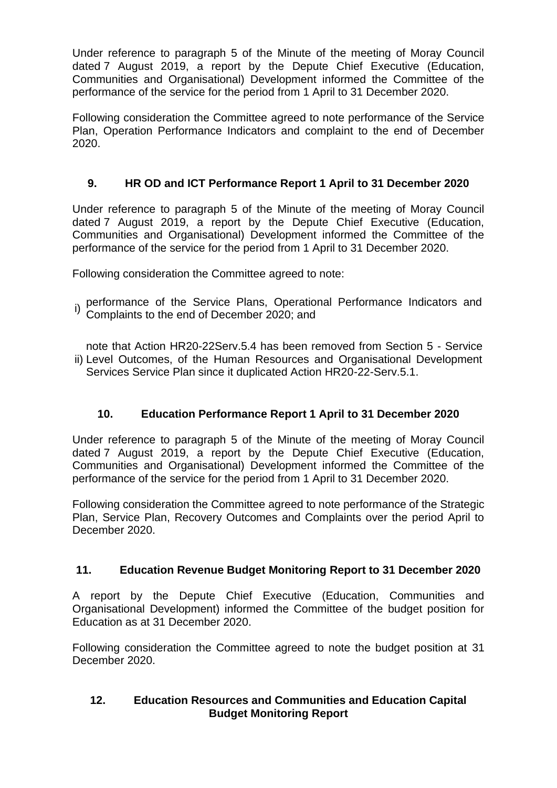Under reference to paragraph 5 of the Minute of the meeting of Moray Council dated 7 August 2019, a report by the Depute Chief Executive (Education, Communities and Organisational) Development informed the Committee of the performance of the service for the period from 1 April to 31 December 2020.

Following consideration the Committee agreed to note performance of the Service Plan, Operation Performance Indicators and complaint to the end of December 2020.

# **9. HR OD and ICT Performance Report 1 April to 31 December 2020**

Under reference to paragraph 5 of the Minute of the meeting of Moray Council dated 7 August 2019, a report by the Depute Chief Executive (Education, Communities and Organisational) Development informed the Committee of the performance of the service for the period from 1 April to 31 December 2020.

Following consideration the Committee agreed to note:

i) performance of the Service Plans, Operational Performance Indicators and Complaints to the end of December 2020; and

ii) Level Outcomes, of the Human Resources and Organisational Development note that Action HR20-22Serv.5.4 has been removed from Section 5 - Service Services Service Plan since it duplicated Action HR20-22-Serv.5.1.

## **10. Education Performance Report 1 April to 31 December 2020**

Under reference to paragraph 5 of the Minute of the meeting of Moray Council dated 7 August 2019, a report by the Depute Chief Executive (Education, Communities and Organisational) Development informed the Committee of the performance of the service for the period from 1 April to 31 December 2020.

Following consideration the Committee agreed to note performance of the Strategic Plan, Service Plan, Recovery Outcomes and Complaints over the period April to December 2020.

## **11. Education Revenue Budget Monitoring Report to 31 December 2020**

A report by the Depute Chief Executive (Education, Communities and Organisational Development) informed the Committee of the budget position for Education as at 31 December 2020.

Following consideration the Committee agreed to note the budget position at 31 December 2020.

#### **12. Education Resources and Communities and Education Capital Budget Monitoring Report**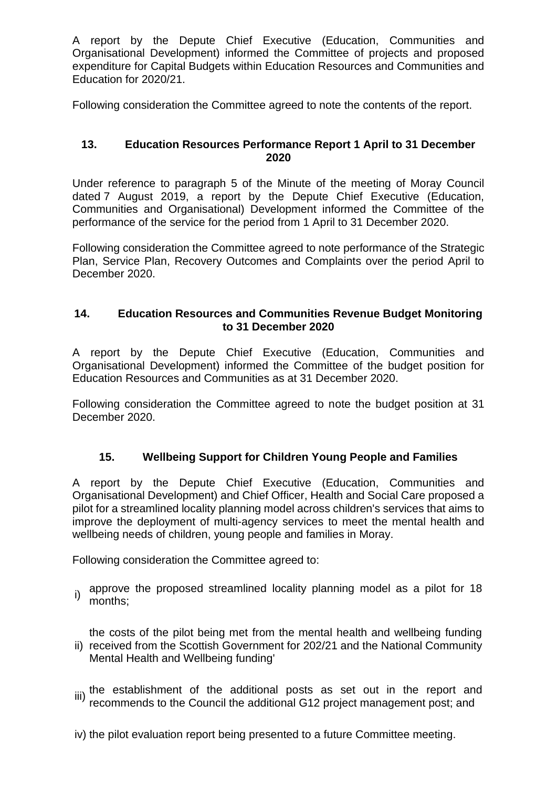A report by the Depute Chief Executive (Education, Communities and Organisational Development) informed the Committee of projects and proposed expenditure for Capital Budgets within Education Resources and Communities and Education for 2020/21.

Following consideration the Committee agreed to note the contents of the report.

#### **13. Education Resources Performance Report 1 April to 31 December 2020**

Under reference to paragraph 5 of the Minute of the meeting of Moray Council dated 7 August 2019, a report by the Depute Chief Executive (Education, Communities and Organisational) Development informed the Committee of the performance of the service for the period from 1 April to 31 December 2020.

Following consideration the Committee agreed to note performance of the Strategic Plan, Service Plan, Recovery Outcomes and Complaints over the period April to December 2020.

#### **14. Education Resources and Communities Revenue Budget Monitoring to 31 December 2020**

A report by the Depute Chief Executive (Education, Communities and Organisational Development) informed the Committee of the budget position for Education Resources and Communities as at 31 December 2020.

Following consideration the Committee agreed to note the budget position at 31 December 2020.

## **15. Wellbeing Support for Children Young People and Families**

A report by the Depute Chief Executive (Education, Communities and Organisational Development) and Chief Officer, Health and Social Care proposed a pilot for a streamlined locality planning model across children's services that aims to improve the deployment of multi-agency services to meet the mental health and wellbeing needs of children, young people and families in Moray.

Following consideration the Committee agreed to:

i) approve the proposed streamlined locality planning model as a pilot for 18 months;

ii) received from the Scottish Government for 202/21 and the National Community the costs of the pilot being met from the mental health and wellbeing funding Mental Health and Wellbeing funding'

- iii) the establishment of the additional posts as set out in the report and recommends to the Council the additional G12 project management post; and
- iv) the pilot evaluation report being presented to a future Committee meeting.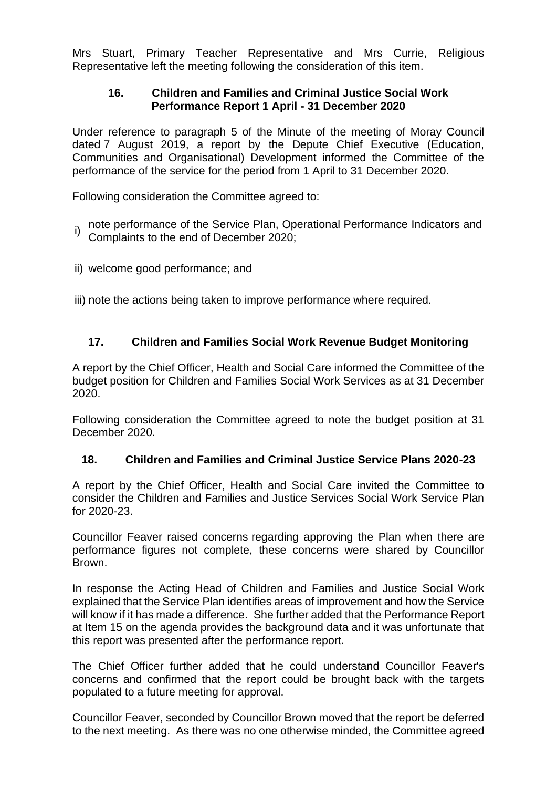Mrs Stuart, Primary Teacher Representative and Mrs Currie, Religious Representative left the meeting following the consideration of this item.

#### **16. Children and Families and Criminal Justice Social Work Performance Report 1 April - 31 December 2020**

Under reference to paragraph 5 of the Minute of the meeting of Moray Council dated 7 August 2019, a report by the Depute Chief Executive (Education, Communities and Organisational) Development informed the Committee of the performance of the service for the period from 1 April to 31 December 2020.

Following consideration the Committee agreed to:

- i) note performance of the Service Plan, Operational Performance Indicators and<br>Compleiate to the end of December 2020: Complaints to the end of December 2020;
- ii) welcome good performance; and

iii) note the actions being taken to improve performance where required.

## **17. Children and Families Social Work Revenue Budget Monitoring**

A report by the Chief Officer, Health and Social Care informed the Committee of the budget position for Children and Families Social Work Services as at 31 December 2020.

Following consideration the Committee agreed to note the budget position at 31 December 2020.

#### **18. Children and Families and Criminal Justice Service Plans 2020-23**

A report by the Chief Officer, Health and Social Care invited the Committee to consider the Children and Families and Justice Services Social Work Service Plan for 2020-23.

Councillor Feaver raised concerns regarding approving the Plan when there are performance figures not complete, these concerns were shared by Councillor Brown.

In response the Acting Head of Children and Families and Justice Social Work explained that the Service Plan identifies areas of improvement and how the Service will know if it has made a difference. She further added that the Performance Report at Item 15 on the agenda provides the background data and it was unfortunate that this report was presented after the performance report.

The Chief Officer further added that he could understand Councillor Feaver's concerns and confirmed that the report could be brought back with the targets populated to a future meeting for approval.

Councillor Feaver, seconded by Councillor Brown moved that the report be deferred to the next meeting. As there was no one otherwise minded, the Committee agreed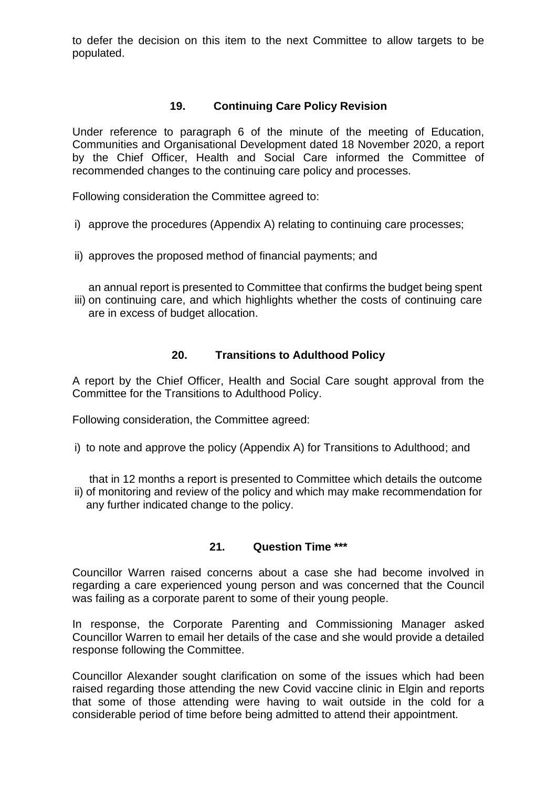to defer the decision on this item to the next Committee to allow targets to be populated.

#### **19. Continuing Care Policy Revision**

Under reference to paragraph 6 of the minute of the meeting of Education, Communities and Organisational Development dated 18 November 2020, a report by the Chief Officer, Health and Social Care informed the Committee of recommended changes to the continuing care policy and processes.

Following consideration the Committee agreed to:

- i) approve the procedures (Appendix A) relating to continuing care processes;
- ii) approves the proposed method of financial payments; and

iii) on continuing care, and which highlights whether the costs of continuing care an annual report is presented to Committee that confirms the budget being spent are in excess of budget allocation.

#### **20. Transitions to Adulthood Policy**

A report by the Chief Officer, Health and Social Care sought approval from the Committee for the Transitions to Adulthood Policy.

Following consideration, the Committee agreed:

i) to note and approve the policy (Appendix A) for Transitions to Adulthood; and

ii) of monitoring and review of the policy and which may make recommendation for that in 12 months a report is presented to Committee which details the outcome any further indicated change to the policy.

#### **21. Question Time \*\*\***

Councillor Warren raised concerns about a case she had become involved in regarding a care experienced young person and was concerned that the Council was failing as a corporate parent to some of their young people.

In response, the Corporate Parenting and Commissioning Manager asked Councillor Warren to email her details of the case and she would provide a detailed response following the Committee.

Councillor Alexander sought clarification on some of the issues which had been raised regarding those attending the new Covid vaccine clinic in Elgin and reports that some of those attending were having to wait outside in the cold for a considerable period of time before being admitted to attend their appointment.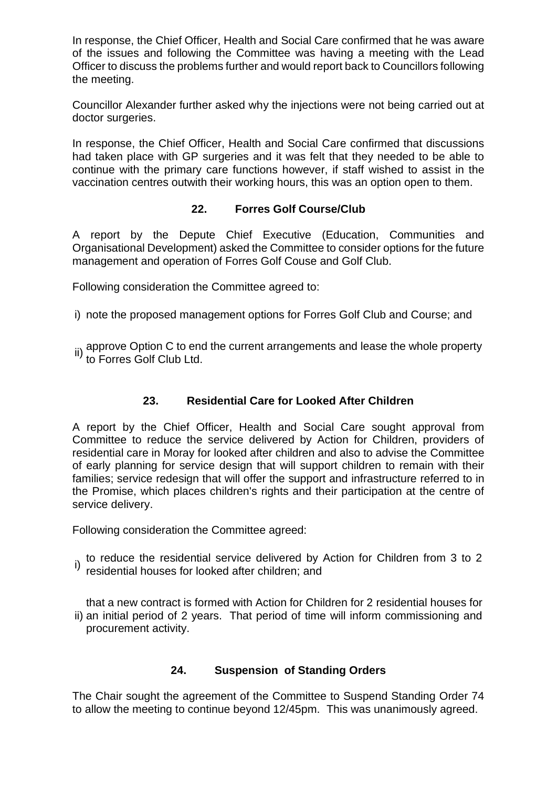In response, the Chief Officer, Health and Social Care confirmed that he was aware of the issues and following the Committee was having a meeting with the Lead Officer to discuss the problems further and would report back to Councillors following the meeting.

Councillor Alexander further asked why the injections were not being carried out at doctor surgeries.

In response, the Chief Officer, Health and Social Care confirmed that discussions had taken place with GP surgeries and it was felt that they needed to be able to continue with the primary care functions however, if staff wished to assist in the vaccination centres outwith their working hours, this was an option open to them.

#### **22. Forres Golf Course/Club**

A report by the Depute Chief Executive (Education, Communities and Organisational Development) asked the Committee to consider options for the future management and operation of Forres Golf Couse and Golf Club.

Following consideration the Committee agreed to:

- i) note the proposed management options for Forres Golf Club and Course; and
- ii) approve Option C to end the current arrangements and lease the whole property<br><sup>ii)</sup> to Forres Golf Club Ltd.

## **23. Residential Care for Looked After Children**

A report by the Chief Officer, Health and Social Care sought approval from Committee to reduce the service delivered by Action for Children, providers of residential care in Moray for looked after children and also to advise the Committee of early planning for service design that will support children to remain with their families; service redesign that will offer the support and infrastructure referred to in the Promise, which places children's rights and their participation at the centre of service delivery.

Following consideration the Committee agreed:

i) to reduce the residential service delivered by Action for Children from 3 to 2 residential houses for looked after children; and

ii) an initial period of 2 years. That period of time will inform commissioning and that a new contract is formed with Action for Children for 2 residential houses for procurement activity.

#### **24. Suspension of Standing Orders**

The Chair sought the agreement of the Committee to Suspend Standing Order 74 to allow the meeting to continue beyond 12/45pm. This was unanimously agreed.